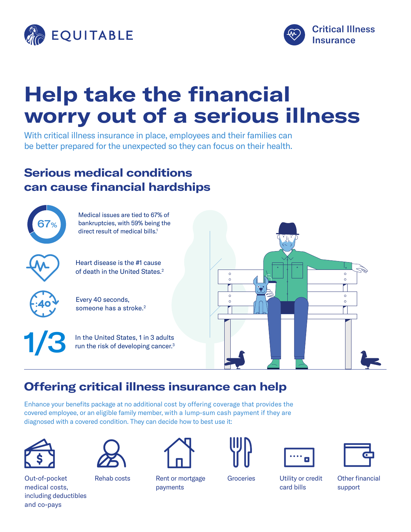



# **Help take the financial worry out of a serious illness**

With critical illness insurance in place, employees and their families can be better prepared for the unexpected so they can focus on their health.

## **Serious medical conditions can cause financial hardships**



# **Offering critical illness insurance can help**

Enhance your benefits package at no additional cost by offering coverage that provides the covered employee, or an eligible family member, with a lump-sum cash payment if they are diagnosed with a covered condition. They can decide how to best use it:





Out-of-pocket medical costs, including deductibles and co-pays



Rehab costs Rent or mortgage payments





card bills

Groceries Utility or credit



Other financial support